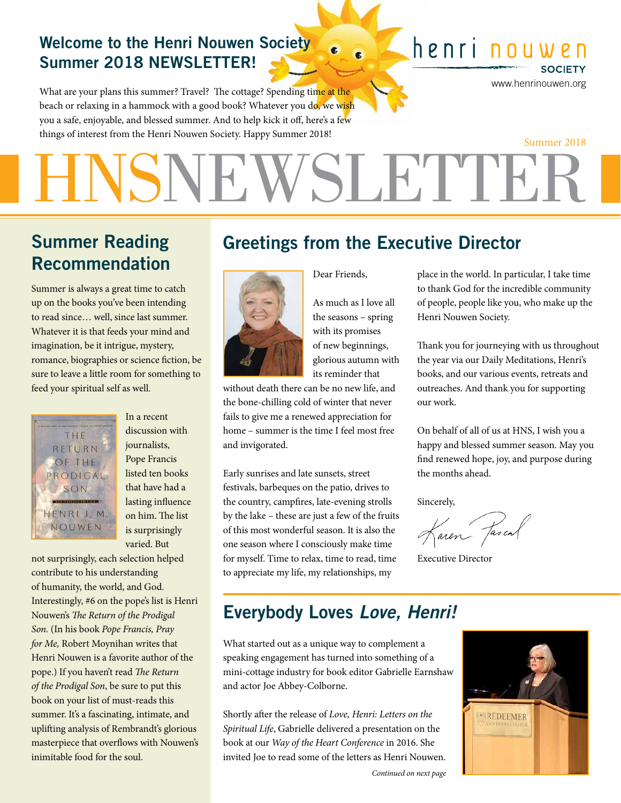#### Welcome to the Henri Nouwen Society Summer 2018 NEWSLETTER!

What are your plans this summer? Travel? The cottage? Spending time at the beach or relaxing in a hammock with a good book? Whatever you do, we wish you a safe, enjoyable, and blessed summer. And to help kick it off, here's a few things of interest from the Henri Nouwen Society. Happy Summer 2018!

### henri nouw

www.henrinouwen.org

**SOCIETY** 

# VSLETTER Summer 2018

### Summer Reading Recommendation

Summer is always a great time to catch up on the books you've been intending to read since… well, since last summer. Whatever it is that feeds your mind and imagination, be it intrigue, mystery, romance, biographies or science fiction, be sure to leave a little room for something to feed your spiritual self as well.



discussion with journalists, Pope Francis listed ten books that have had a lasting influence on him. The list is surprisingly varied. But

In a recent

not surprisingly, each selection helped contribute to his understanding of humanity, the world, and God. Interestingly, #6 on the pope's list is Henri Nouwen's *The Return of the Prodigal Son.* (In his book *Pope Francis, Pray for Me,* Robert Moynihan writes that Henri Nouwen is a favorite author of the pope.) If you haven't read *The Return of the Prodigal Son*, be sure to put this book on your list of must-reads this summer. It's a fascinating, intimate, and uplifting analysis of Rembrandt's glorious masterpiece that overflows with Nouwen's inimitable food for the soul.

### Greetings from the Executive Director



As much as I love all the seasons – spring with its promises of new beginnings, glorious autumn with its reminder that

Dear Friends,

without death there can be no new life, and the bone-chilling cold of winter that never fails to give me a renewed appreciation for home – summer is the time I feel most free and invigorated.

Early sunrises and late sunsets, street festivals, barbeques on the patio, drives to the country, campfires, late-evening strolls by the lake – these are just a few of the fruits of this most wonderful season. It is also the one season where I consciously make time for myself. Time to relax, time to read, time to appreciate my life, my relationships, my

place in the world. In particular, I take time to thank God for the incredible community of people, people like you, who make up the Henri Nouwen Society.

Thank you for journeying with us throughout the year via our Daily Meditations, Henri's books, and our various events, retreats and outreaches. And thank you for supporting our work.

On behalf of all of us at HNS, I wish you a happy and blessed summer season. May you find renewed hope, joy, and purpose during the months ahead.

Sincerely,

Jaren Jascal

Executive Director

### Everybody Loves *Love, Henri!*

What started out as a unique way to complement a speaking engagement has turned into something of a mini-cottage industry for book editor Gabrielle Earnshaw and actor Joe Abbey-Colborne.

Shortly after the release of *Love, Henri: Letters on the Spiritual Life*, Gabrielle delivered a presentation on the book at our *Way of the Heart Conference* in 2016. She invited Joe to read some of the letters as Henri Nouwen.